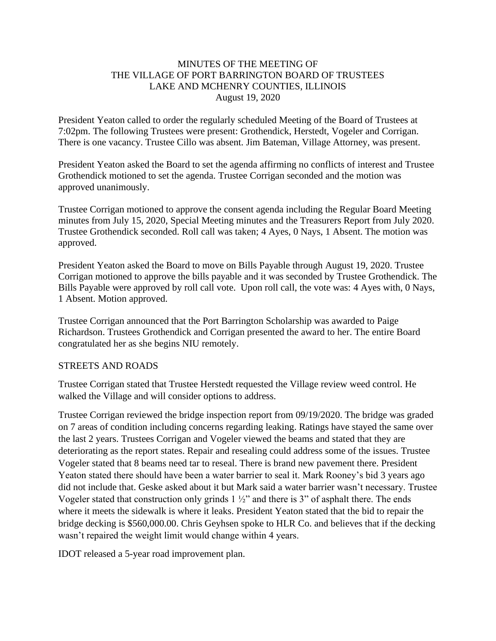#### MINUTES OF THE MEETING OF THE VILLAGE OF PORT BARRINGTON BOARD OF TRUSTEES LAKE AND MCHENRY COUNTIES, ILLINOIS August 19, 2020

President Yeaton called to order the regularly scheduled Meeting of the Board of Trustees at 7:02pm. The following Trustees were present: Grothendick, Herstedt, Vogeler and Corrigan. There is one vacancy. Trustee Cillo was absent. Jim Bateman, Village Attorney, was present.

President Yeaton asked the Board to set the agenda affirming no conflicts of interest and Trustee Grothendick motioned to set the agenda. Trustee Corrigan seconded and the motion was approved unanimously.

Trustee Corrigan motioned to approve the consent agenda including the Regular Board Meeting minutes from July 15, 2020, Special Meeting minutes and the Treasurers Report from July 2020. Trustee Grothendick seconded. Roll call was taken; 4 Ayes, 0 Nays, 1 Absent. The motion was approved.

President Yeaton asked the Board to move on Bills Payable through August 19, 2020. Trustee Corrigan motioned to approve the bills payable and it was seconded by Trustee Grothendick. The Bills Payable were approved by roll call vote. Upon roll call, the vote was: 4 Ayes with, 0 Nays, 1 Absent. Motion approved.

Trustee Corrigan announced that the Port Barrington Scholarship was awarded to Paige Richardson. Trustees Grothendick and Corrigan presented the award to her. The entire Board congratulated her as she begins NIU remotely.

#### STREETS AND ROADS

Trustee Corrigan stated that Trustee Herstedt requested the Village review weed control. He walked the Village and will consider options to address.

Trustee Corrigan reviewed the bridge inspection report from 09/19/2020. The bridge was graded on 7 areas of condition including concerns regarding leaking. Ratings have stayed the same over the last 2 years. Trustees Corrigan and Vogeler viewed the beams and stated that they are deteriorating as the report states. Repair and resealing could address some of the issues. Trustee Vogeler stated that 8 beams need tar to reseal. There is brand new pavement there. President Yeaton stated there should have been a water barrier to seal it. Mark Rooney's bid 3 years ago did not include that. Geske asked about it but Mark said a water barrier wasn't necessary. Trustee Vogeler stated that construction only grinds 1 ½" and there is 3" of asphalt there. The ends where it meets the sidewalk is where it leaks. President Yeaton stated that the bid to repair the bridge decking is \$560,000.00. Chris Geyhsen spoke to HLR Co. and believes that if the decking wasn't repaired the weight limit would change within 4 years.

IDOT released a 5-year road improvement plan.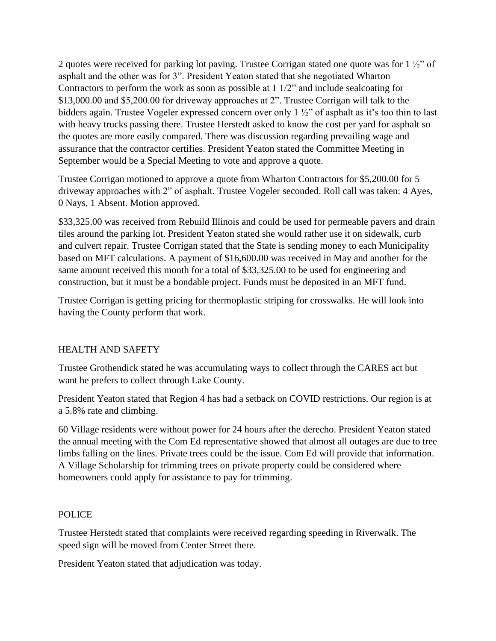2 quotes were received for parking lot paving. Trustee Corrigan stated one quote was for 1 ½" of asphalt and the other was for 3". President Yeaton stated that she negotiated Wharton Contractors to perform the work as soon as possible at 1 1/2" and include sealcoating for \$13,000.00 and \$5,200.00 for driveway approaches at 2". Trustee Corrigan will talk to the bidders again. Trustee Vogeler expressed concern over only 1 ½" of asphalt as it's too thin to last with heavy trucks passing there. Trustee Herstedt asked to know the cost per yard for asphalt so the quotes are more easily compared. There was discussion regarding prevailing wage and assurance that the contractor certifies. President Yeaton stated the Committee Meeting in September would be a Special Meeting to vote and approve a quote.

Trustee Corrigan motioned to approve a quote from Wharton Contractors for \$5,200.00 for 5 driveway approaches with 2" of asphalt. Trustee Vogeler seconded. Roll call was taken: 4 Ayes, 0 Nays, 1 Absent. Motion approved.

\$33,325.00 was received from Rebuild Illinois and could be used for permeable pavers and drain tiles around the parking lot. President Yeaton stated she would rather use it on sidewalk, curb and culvert repair. Trustee Corrigan stated that the State is sending money to each Municipality based on MFT calculations. A payment of \$16,600.00 was received in May and another for the same amount received this month for a total of \$33,325.00 to be used for engineering and construction, but it must be a bondable project. Funds must be deposited in an MFT fund.

Trustee Corrigan is getting pricing for thermoplastic striping for crosswalks. He will look into having the County perform that work.

# HEALTH AND SAFETY

Trustee Grothendick stated he was accumulating ways to collect through the CARES act but want he prefers to collect through Lake County.

President Yeaton stated that Region 4 has had a setback on COVID restrictions. Our region is at a 5.8% rate and climbing.

60 Village residents were without power for 24 hours after the derecho. President Yeaton stated the annual meeting with the Com Ed representative showed that almost all outages are due to tree limbs falling on the lines. Private trees could be the issue. Com Ed will provide that information. A Village Scholarship for trimming trees on private property could be considered where homeowners could apply for assistance to pay for trimming.

# POLICE

Trustee Herstedt stated that complaints were received regarding speeding in Riverwalk. The speed sign will be moved from Center Street there.

President Yeaton stated that adjudication was today.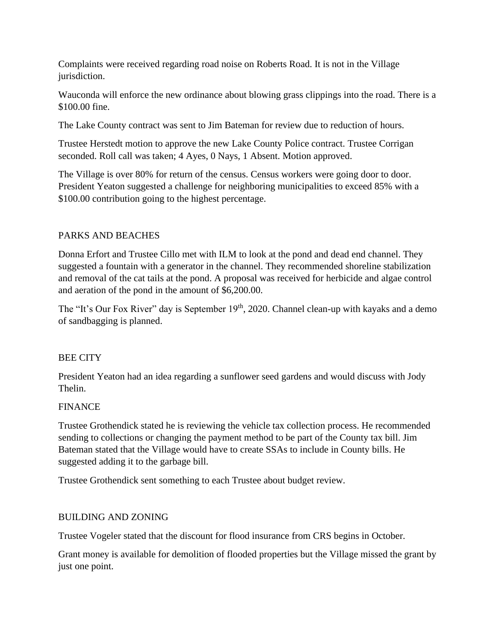Complaints were received regarding road noise on Roberts Road. It is not in the Village jurisdiction.

Wauconda will enforce the new ordinance about blowing grass clippings into the road. There is a \$100.00 fine.

The Lake County contract was sent to Jim Bateman for review due to reduction of hours.

Trustee Herstedt motion to approve the new Lake County Police contract. Trustee Corrigan seconded. Roll call was taken; 4 Ayes, 0 Nays, 1 Absent. Motion approved.

The Village is over 80% for return of the census. Census workers were going door to door. President Yeaton suggested a challenge for neighboring municipalities to exceed 85% with a \$100.00 contribution going to the highest percentage.

# PARKS AND BEACHES

Donna Erfort and Trustee Cillo met with ILM to look at the pond and dead end channel. They suggested a fountain with a generator in the channel. They recommended shoreline stabilization and removal of the cat tails at the pond. A proposal was received for herbicide and algae control and aeration of the pond in the amount of \$6,200.00.

The "It's Our Fox River" day is September 19<sup>th</sup>, 2020. Channel clean-up with kayaks and a demo of sandbagging is planned.

# BEE CITY

President Yeaton had an idea regarding a sunflower seed gardens and would discuss with Jody Thelin.

# **FINANCE**

Trustee Grothendick stated he is reviewing the vehicle tax collection process. He recommended sending to collections or changing the payment method to be part of the County tax bill. Jim Bateman stated that the Village would have to create SSAs to include in County bills. He suggested adding it to the garbage bill.

Trustee Grothendick sent something to each Trustee about budget review.

# BUILDING AND ZONING

Trustee Vogeler stated that the discount for flood insurance from CRS begins in October.

Grant money is available for demolition of flooded properties but the Village missed the grant by just one point.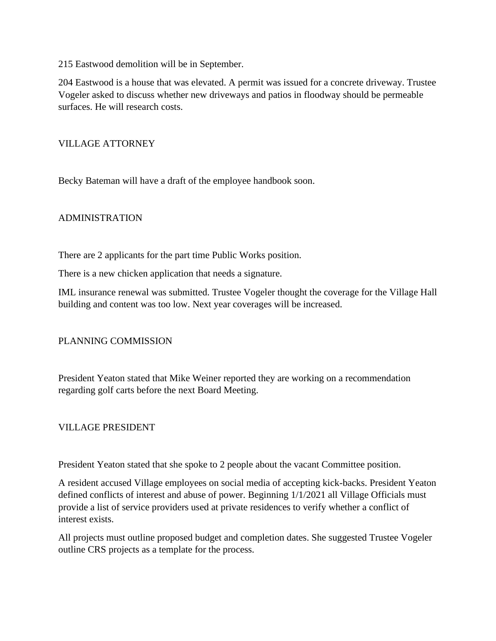215 Eastwood demolition will be in September.

204 Eastwood is a house that was elevated. A permit was issued for a concrete driveway. Trustee Vogeler asked to discuss whether new driveways and patios in floodway should be permeable surfaces. He will research costs.

#### VILLAGE ATTORNEY

Becky Bateman will have a draft of the employee handbook soon.

# ADMINISTRATION

There are 2 applicants for the part time Public Works position.

There is a new chicken application that needs a signature.

IML insurance renewal was submitted. Trustee Vogeler thought the coverage for the Village Hall building and content was too low. Next year coverages will be increased.

# PLANNING COMMISSION

President Yeaton stated that Mike Weiner reported they are working on a recommendation regarding golf carts before the next Board Meeting.

#### VILLAGE PRESIDENT

President Yeaton stated that she spoke to 2 people about the vacant Committee position.

A resident accused Village employees on social media of accepting kick-backs. President Yeaton defined conflicts of interest and abuse of power. Beginning 1/1/2021 all Village Officials must provide a list of service providers used at private residences to verify whether a conflict of interest exists.

All projects must outline proposed budget and completion dates. She suggested Trustee Vogeler outline CRS projects as a template for the process.